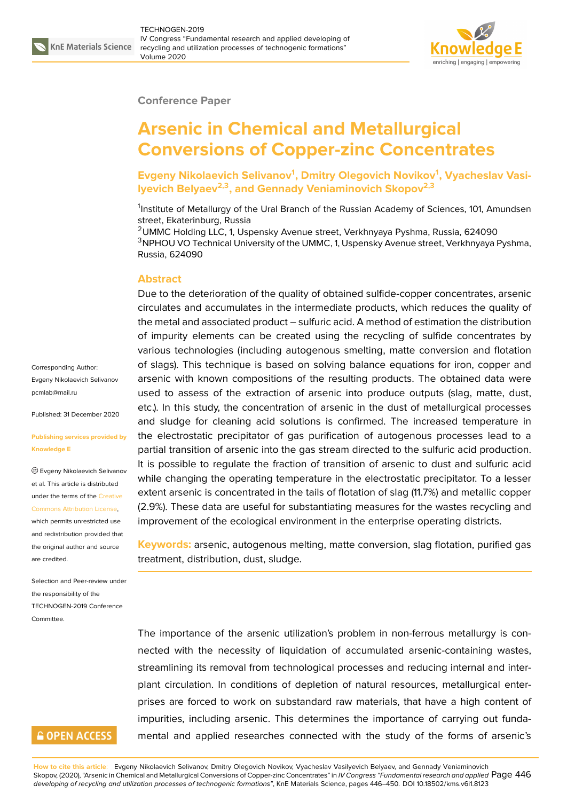

### **Conference Paper**

# **Arsenic in Chemical and Metallurgical Conversions of Copper-zinc Concentrates**

**Evgeny Nikolaevich Selivanov<sup>1</sup> , Dmitry Olegovich Novikov<sup>1</sup> , Vyacheslav Vasilyevich Belyaev2,3, and Gennady Veniaminovich Skopov2,3**

<sup>1</sup>Institute of Metallurgy of the Ural Branch of the Russian Academy of Sciences, 101, Amundsen street, Ekaterinburg, Russia

<sup>2</sup>UMMC Holding LLC, 1, Uspensky Avenue street, Verkhnyaya Pyshma, Russia, 624090 <sup>3</sup>NPHOU VO Technical University of the UMMC, 1, Uspensky Avenue street, Verkhnyaya Pyshma, Russia, 624090

## **Abstract**

Due to the deterioration of the quality of obtained sulfide-copper concentrates, arsenic circulates and accumulates in the intermediate products, which reduces the quality of the metal and associated product – sulfuric acid. A method of estimation the distribution of impurity elements can be created using the recycling of sulfide concentrates by various technologies (including autogenous smelting, matte conversion and flotation of slags). This technique is based on solving balance equations for iron, copper and arsenic with known compositions of the resulting products. The obtained data were used to assess of the extraction of arsenic into produce outputs (slag, matte, dust, etc.). In this study, the concentration of arsenic in the dust of metallurgical processes and sludge for cleaning acid solutions is confirmed. The increased temperature in the electrostatic precipitator of gas purification of autogenous processes lead to a partial transition of arsenic into the gas stream directed to the sulfuric acid production. It is possible to regulate the fraction of transition of arsenic to dust and sulfuric acid while changing the operating temperature in the electrostatic precipitator. To a lesser extent arsenic is concentrated in the tails of flotation of slag (11.7%) and metallic copper (2.9%). These data are useful for substantiating measures for the wastes recycling and improvement of the ecological environment in the enterprise operating districts.

**Keywords:** arsenic, autogenous melting, matte conversion, slag flotation, purified gas treatment, distribution, dust, sludge.

The importance of the arsenic utilization's problem in non-ferrous metallurgy is connected with the necessity of liquidation of accumulated arsenic-containing wastes, streamlining its removal from technological processes and reducing internal and interplant circulation. In conditions of depletion of natural resources, metallurgical enterprises are forced to work on substandard raw materials, that have a high content of impurities, including arsenic. This determines the importance of carrying out fundamental and applied researches connected with the study of the forms of arsenic's

Corresponding Author: Evgeny Nikolaevich Selivanov pcmlab@mail.ru

Published: 31 December 2020

#### **[Publishing serv](mailto:pcmlab@mail.ru)ices provided by Knowledge E**

Evgeny Nikolaevich Selivanov et al. This article is distributed under the terms of the Creative Commons Attribution License,

which permits unrestricted use and redistribution provided that the original author and [source](https://creativecommons.org/licenses/by/4.0/) [are credited.](https://creativecommons.org/licenses/by/4.0/)

Selection and Peer-review under the responsibility of the TECHNOGEN-2019 Conference **Committee** 

# **GOPEN ACCESS**

**How to cite this article**: Evgeny Nikolaevich Selivanov, Dmitry Olegovich Novikov, Vyacheslav Vasilyevich Belyaev, and Gennady Veniaminovich Skopov, (2020), "Arsenic in Chemical and Metallurgical Conversions of Copper-zinc Concentrates" in *IV Congress "Fundamental research and applied* Page 446 *developing of recycling and utilization processes of technogenic formations"*, KnE Materials Science, pages 446–450. DOI 10.18502/kms.v6i1.8123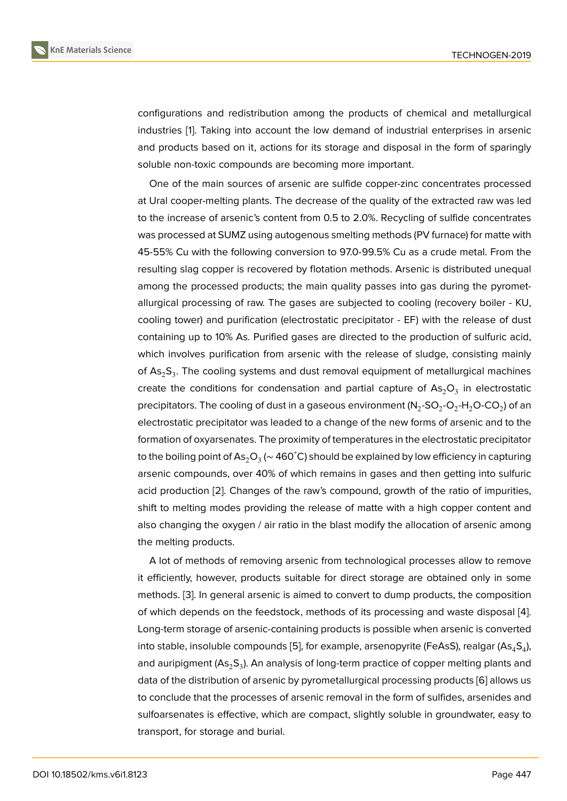configurations and redistribution among the products of chemical and metallurgical industries [1]. Taking into account the low demand of industrial enterprises in arsenic and products based on it, actions for its storage and disposal in the form of sparingly soluble non-toxic compounds are becoming more important.

One of t[h](#page-3-0)e main sources of arsenic are sulfide copper-zinc concentrates processed at Ural cooper-melting plants. The decrease of the quality of the extracted raw was led to the increase of arsenic's content from 0.5 to 2.0%. Recycling of sulfide concentrates was processed at SUMZ using autogenous smelting methods (PV furnace) for matte with 45-55% Cu with the following conversion to 97.0-99.5% Cu as a crude metal. From the resulting slag copper is recovered by flotation methods. Arsenic is distributed unequal among the processed products; the main quality passes into gas during the pyrometallurgical processing of raw. The gases are subjected to cooling (recovery boiler - KU, cooling tower) and purification (electrostatic precipitator - EF) with the release of dust containing up to 10% As. Purified gases are directed to the production of sulfuric acid, which involves purification from arsenic with the release of sludge, consisting mainly of  $\text{As}_2\text{S}_3$ . The cooling systems and dust removal equipment of metallurgical machines create the conditions for condensation and partial capture of  $\mathsf{As}_2\mathsf{O}_3$  in electrostatic precipitators. The cooling of dust in a gaseous environment (N<sub>2</sub>-SO<sub>2</sub>-O<sub>2</sub>-H<sub>2</sub>O-CO<sub>2</sub>) of an electrostatic precipitator was leaded to a change of the new forms of arsenic and to the formation of oxyarsenates. The proximity of temperatures in the electrostatic precipitator to the boiling point of As $_2$ O $_3$  (~ 460˚C) should be explained by low efficiency in capturing arsenic compounds, over 40% of which remains in gases and then getting into sulfuric acid production [2]. Changes of the raw's compound, growth of the ratio of impurities, shift to melting modes providing the release of matte with a high copper content and also changing the oxygen / air ratio in the blast modify the allocation of arsenic among the melting prod[uc](#page-3-1)ts.

A lot of methods of removing arsenic from technological processes allow to remove it efficiently, however, products suitable for direct storage are obtained only in some methods. [3]. In general arsenic is aimed to convert to dump products, the composition of which depends on the feedstock, methods of its processing and waste disposal [4]. Long-term storage of arsenic-containing products is possible when arsenic is converted into stable[, i](#page-3-2)nsoluble compounds [5], for example, arsenopyrite (FeAsS), realgar (As $_{4}$ S $_{4}$ ), a[nd](#page-3-3) auripigment (As $_2$ S $_3$ ). An analysis of long-term practice of copper melting plants and data of the distribution of arsenic by pyrometallurgical processing products [6] allows us to conclude that the processes of [ar](#page-3-4)senic removal in the form of sulfides, arsenides and sulfoarsenates is effective, which are compact, slightly soluble in groundwater, easy to transport, for storage and burial.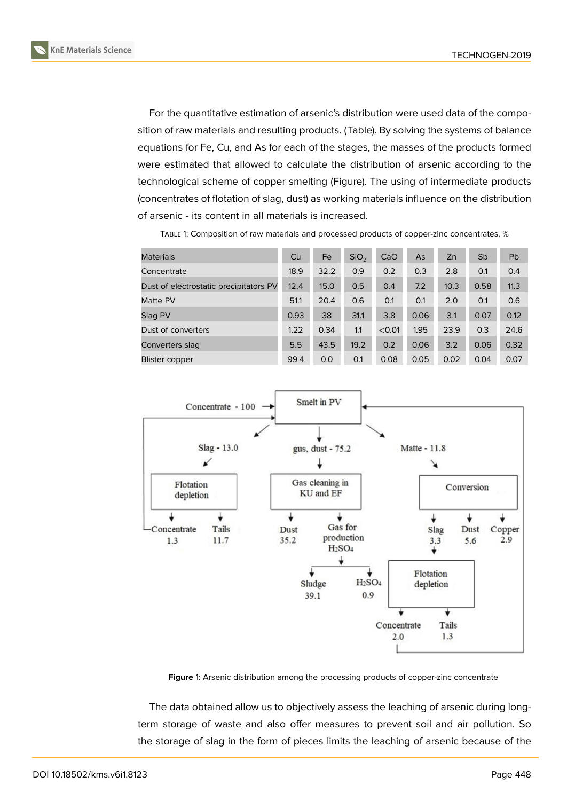

For the quantitative estimation of arsenic's distribution were used data of the composition of raw materials and resulting products. (Table). By solving the systems of balance equations for Fe, Cu, and As for each of the stages, the masses of the products formed were estimated that allowed to calculate the distribution of arsenic according to the technological scheme of copper smelting (Figure). The using of intermediate products (concentrates of flotation of slag, dust) as working materials influence on the distribution of arsenic - its content in all materials is increased.

| <b>Materials</b>                       | Cu   | Fe   | SiO <sub>2</sub> | CaO    | As   | Zn   | Sb   | <b>Pb</b> |
|----------------------------------------|------|------|------------------|--------|------|------|------|-----------|
| Concentrate                            | 18.9 | 32.2 | 0.9              | 0.2    | 0.3  | 2.8  | 0.1  | 0.4       |
| Dust of electrostatic precipitators PV | 12.4 | 15.0 | 0.5              | 0.4    | 7.2  | 10.3 | 0.58 | 11.3      |
| Matte PV                               | 51.1 | 20.4 | 0.6              | 0.1    | 0.1  | 2.0  | 0.1  | 0.6       |
| Slag PV                                | 0.93 | 38   | 31.1             | 3.8    | 0.06 | 3.1  | 0.07 | 0.12      |
| Dust of converters                     | 1.22 | 0.34 | 1.1              | < 0.01 | 1.95 | 23.9 | 0.3  | 24.6      |
| Converters slag                        | 5.5  | 43.5 | 19.2             | 0.2    | 0.06 | 3.2  | 0.06 | 0.32      |
| <b>Blister copper</b>                  | 99.4 | 0.0  | 0.1              | 0.08   | 0.05 | 0.02 | 0.04 | 0.07      |

TABLE 1: Composition of raw materials and processed products of copper-zinc concentrates, %



**Figure** 1: Arsenic distribution among the processing products of copper-zinc concentrate

The data obtained allow us to objectively assess the leaching of arsenic during longterm storage of waste and also offer measures to prevent soil and air pollution. So the storage of slag in the form of pieces limits the leaching of arsenic because of the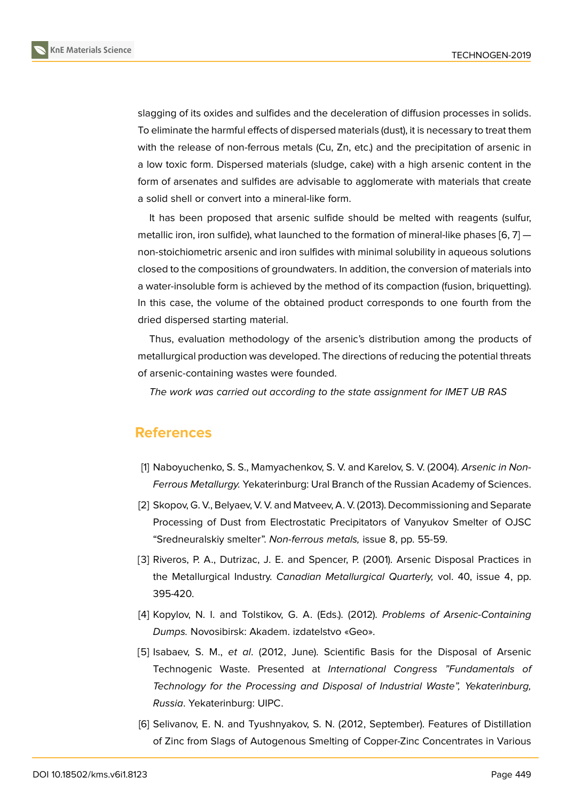slagging of its oxides and sulfides and the deceleration of diffusion processes in solids. To eliminate the harmful effects of dispersed materials (dust), it is necessary to treat them with the release of non-ferrous metals (Cu, Zn, etc.) and the precipitation of arsenic in a low toxic form. Dispersed materials (sludge, cake) with a high arsenic content in the form of arsenates and sulfides are advisable to agglomerate with materials that create a solid shell or convert into a mineral-like form.

It has been proposed that arsenic sulfide should be melted with reagents (sulfur, metallic iron, iron sulfide), what launched to the formation of mineral-like phases  $[6, 7]$  non-stoichiometric arsenic and iron sulfides with minimal solubility in aqueous solutions closed to the compositions of groundwaters. In addition, the conversion of materials into a water-insoluble form is achieved by the method of its compaction (fusion, briqu[et](#page-3-5)[tin](#page-4-0)g). In this case, the volume of the obtained product corresponds to one fourth from the dried dispersed starting material.

Thus, evaluation methodology of the arsenic's distribution among the products of metallurgical production was developed. The directions of reducing the potential threats of arsenic-containing wastes were founded.

*The work was carried out according to the state assignment for IMET UB RAS*

## **References**

- [1] Naboyuchenko, S. S., Mamyachenkov, S. V. and Karelov, S. V. (2004). *Arsenic in Non-Ferrous Metallurgy.* Yekaterinburg: Ural Branch of the Russian Academy of Sciences.
- <span id="page-3-0"></span>[2] Skopov, G. V., Belyaev, V. V. and Matveev, A. V. (2013). Decommissioning and Separate Processing of Dust from Electrostatic Precipitators of Vanyukov Smelter of OJSC "Sredneuralskiy smelter". *Non-ferrous metals,* issue 8, pp. 55-59.
- <span id="page-3-1"></span>[3] Riveros, P. A., Dutrizac, J. E. and Spencer, P. (2001). Arsenic Disposal Practices in the Metallurgical Industry. *Canadian Metallurgical Quarterly,* vol. 40, issue 4, pp. 395-420.
- <span id="page-3-2"></span>[4] Kopylov, N. I. and Tolstikov, G. A. (Eds.). (2012). *Problems of Arsenic-Containing Dumps.* Novosibirsk: Akadem. izdatelstvo «Geo».
- <span id="page-3-3"></span>[5] Isabaev, S. M., *et al*. (2012, June). Scientific Basis for the Disposal of Arsenic Technogenic Waste. Presented at *International Congress "Fundamentals of Technology for the Processing and Disposal of Industrial Waste", Yekaterinburg, Russia*. Yekaterinburg: UIPC.
- <span id="page-3-5"></span><span id="page-3-4"></span>[6] Selivanov, E. N. and Tyushnyakov, S. N. (2012, September). Features of Distillation of Zinc from Slags of Autogenous Smelting of Copper-Zinc Concentrates in Various